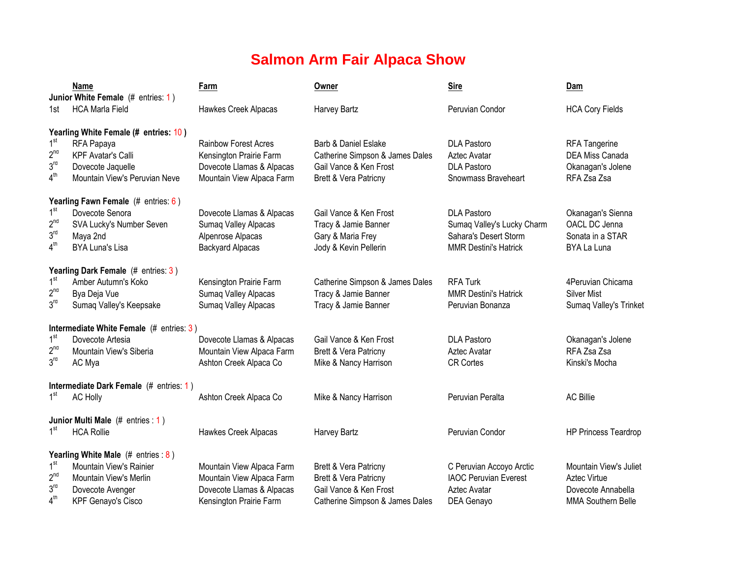## **Salmon Arm Fair Alpaca Show**

|                                    | Name<br>Junior White Female (# entries: 1)         | Farm                                                   | Owner                                           | <b>Sire</b>                               | Dam                              |
|------------------------------------|----------------------------------------------------|--------------------------------------------------------|-------------------------------------------------|-------------------------------------------|----------------------------------|
| 1st l                              | <b>HCA Marla Field</b>                             | Hawkes Creek Alpacas                                   | Harvey Bartz                                    | Peruvian Condor                           | <b>HCA Cory Fields</b>           |
|                                    | Yearling White Female (# entries: 10)              |                                                        |                                                 |                                           |                                  |
| 1 <sup>st</sup>                    | RFA Papaya                                         | <b>Rainbow Forest Acres</b>                            | Barb & Daniel Eslake                            | <b>DLA Pastoro</b>                        | <b>RFA Tangerine</b>             |
| 2 <sup>nd</sup><br>3 <sup>rd</sup> | <b>KPF Avatar's Calli</b>                          | Kensington Prairie Farm                                | Catherine Simpson & James Dales                 | Aztec Avatar                              | <b>DEA Miss Canada</b>           |
| 4 <sup>th</sup>                    | Dovecote Jaquelle<br>Mountain View's Peruvian Neve | Dovecote Llamas & Alpacas<br>Mountain View Alpaca Farm | Gail Vance & Ken Frost<br>Brett & Vera Patricny | <b>DLA Pastoro</b><br>Snowmass Braveheart | Okanagan's Jolene<br>RFA Zsa Zsa |
|                                    | Yearling Fawn Female $(# entries: 6)$              |                                                        |                                                 |                                           |                                  |
| 1 <sup>st</sup>                    | Dovecote Senora                                    | Dovecote Llamas & Alpacas                              | Gail Vance & Ken Frost                          | <b>DLA Pastoro</b>                        | Okanagan's Sienna                |
| 2 <sup>nd</sup>                    | SVA Lucky's Number Seven                           | Sumaq Valley Alpacas                                   | Tracy & Jamie Banner                            | Sumaq Valley's Lucky Charm                | OACL DC Jenna                    |
| 3 <sup>rd</sup>                    | Maya 2nd                                           | Alpenrose Alpacas                                      | Gary & Maria Frey                               | Sahara's Desert Storm                     | Sonata in a STAR                 |
| 4 <sup>th</sup>                    | <b>BYA Luna's Lisa</b>                             | <b>Backyard Alpacas</b>                                | Jody & Kevin Pellerin                           | <b>MMR Destini's Hatrick</b>              | BYA La Luna                      |
|                                    | <b>Yearling Dark Female</b> (# entries: 3)         |                                                        |                                                 |                                           |                                  |
| 1 <sup>st</sup>                    | Amber Autumn's Koko                                | Kensington Prairie Farm                                | Catherine Simpson & James Dales                 | <b>RFA Turk</b>                           | 4 Peruvian Chicama               |
| 2 <sup>nd</sup>                    | Bya Deja Vue                                       | Sumaq Valley Alpacas                                   | Tracy & Jamie Banner                            | <b>MMR Destini's Hatrick</b>              | <b>Silver Mist</b>               |
| 3 <sup>rd</sup>                    | Sumaq Valley's Keepsake                            | Sumaq Valley Alpacas                                   | Tracy & Jamie Banner                            | Peruvian Bonanza                          | Sumaq Valley's Trinket           |
|                                    | Intermediate White Female $(#$ entries: 3)         |                                                        |                                                 |                                           |                                  |
| 1 <sup>st</sup>                    | Dovecote Artesia                                   | Dovecote Llamas & Alpacas                              | Gail Vance & Ken Frost                          | <b>DLA Pastoro</b>                        | Okanagan's Jolene                |
| 2 <sup>nd</sup>                    | Mountain View's Siberia                            | Mountain View Alpaca Farm                              | Brett & Vera Patricny                           | Aztec Avatar                              | RFA Zsa Zsa                      |
| 3 <sup>rd</sup>                    | AC Mya                                             | Ashton Creek Alpaca Co                                 | Mike & Nancy Harrison                           | <b>CR Cortes</b>                          | Kinski's Mocha                   |
|                                    | Intermediate Dark Female (# entries: 1)            |                                                        |                                                 |                                           |                                  |
| 1 <sup>st</sup>                    | <b>AC Holly</b>                                    | Ashton Creek Alpaca Co                                 | Mike & Nancy Harrison                           | Peruvian Peralta                          | <b>AC Billie</b>                 |
|                                    | Junior Multi Male (# entries : 1)                  |                                                        |                                                 |                                           |                                  |
| 1 <sup>st</sup>                    | <b>HCA Rollie</b>                                  | Hawkes Creek Alpacas                                   | Harvey Bartz                                    | Peruvian Condor                           | <b>HP Princess Teardrop</b>      |
|                                    | Yearling White Male $(# entries : 8)$              |                                                        |                                                 |                                           |                                  |
| 1 <sup>st</sup>                    | Mountain View's Rainier                            | Mountain View Alpaca Farm                              | Brett & Vera Patricny                           | C Peruvian Accoyo Arctic                  | Mountain View's Juliet           |
| $2^{nd}$                           | Mountain View's Merlin                             | Mountain View Alpaca Farm                              | <b>Brett &amp; Vera Patricny</b>                | <b>IAOC Peruvian Everest</b>              | <b>Aztec Virtue</b>              |
| 3 <sup>rd</sup>                    | Dovecote Avenger                                   | Dovecote Llamas & Alpacas                              | Gail Vance & Ken Frost                          | Aztec Avatar                              | Dovecote Annabella               |
| 4 <sup>th</sup>                    | <b>KPF Genayo's Cisco</b>                          | Kensington Prairie Farm                                | Catherine Simpson & James Dales                 | DEA Genayo                                | <b>MMA Southern Belle</b>        |